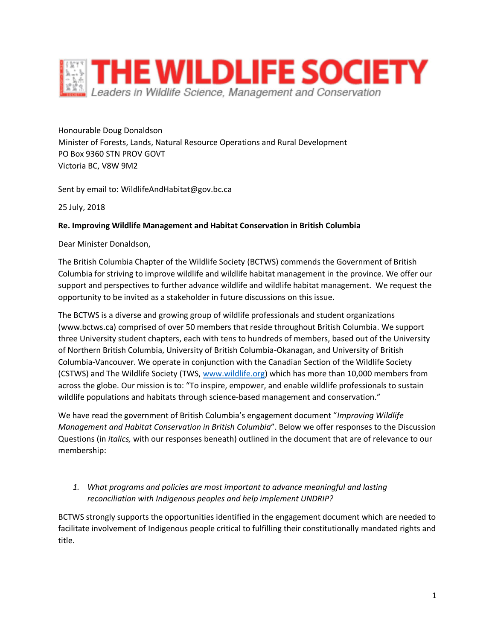

Honourable Doug Donaldson Minister of Forests, Lands, Natural Resource Operations and Rural Development PO Box 9360 STN PROV GOVT Victoria BC, V8W 9M2

Sent by email to: WildlifeAndHabitat@gov.bc.ca

25 July, 2018

#### **Re. Improving Wildlife Management and Habitat Conservation in British Columbia**

Dear Minister Donaldson,

The British Columbia Chapter of the Wildlife Society (BCTWS) commends the Government of British Columbia for striving to improve wildlife and wildlife habitat management in the province. We offer our support and perspectives to further advance wildlife and wildlife habitat management. We request the opportunity to be invited as a stakeholder in future discussions on this issue.

The BCTWS is a diverse and growing group of wildlife professionals and student organizations (www.bctws.ca) comprised of over 50 members that reside throughout British Columbia. We support three University student chapters, each with tens to hundreds of members, based out of the University of Northern British Columbia, University of British Columbia-Okanagan, and University of British Columbia-Vancouver. We operate in conjunction with the Canadian Section of the Wildlife Society (CSTWS) and The Wildlife Society (TWS, [www.wildlife.org\)](http://www.wildlife.org/) which has more than 10,000 members from across the globe. Our mission is to: "To inspire, empower, and enable wildlife professionals to sustain wildlife populations and habitats through science-based management and conservation."

We have read the government of British Columbia's engagement document "*Improving Wildlife Management and Habitat Conservation in British Columbia*". Below we offer responses to the Discussion Questions (in *italics,* with our responses beneath) outlined in the document that are of relevance to our membership:

### *1. What programs and policies are most important to advance meaningful and lasting reconciliation with Indigenous peoples and help implement UNDRIP?*

BCTWS strongly supports the opportunities identified in the engagement document which are needed to facilitate involvement of Indigenous people critical to fulfilling their constitutionally mandated rights and title.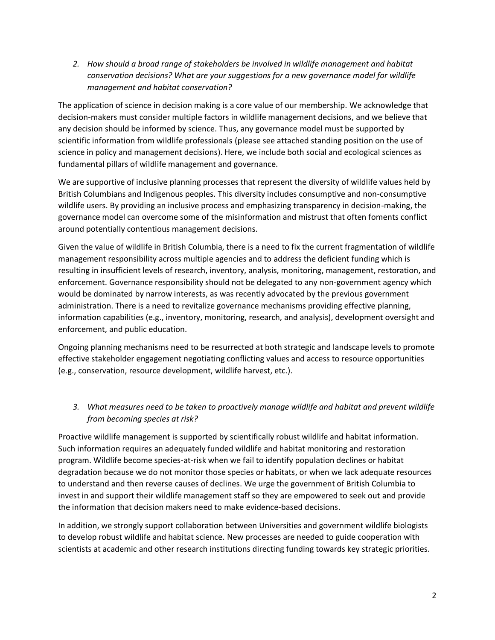*2. How should a broad range of stakeholders be involved in wildlife management and habitat conservation decisions? What are your suggestions for a new governance model for wildlife management and habitat conservation?*

The application of science in decision making is a core value of our membership. We acknowledge that decision-makers must consider multiple factors in wildlife management decisions, and we believe that any decision should be informed by science. Thus, any governance model must be supported by scientific information from wildlife professionals (please see attached standing position on the use of science in policy and management decisions). Here, we include both social and ecological sciences as fundamental pillars of wildlife management and governance.

We are supportive of inclusive planning processes that represent the diversity of wildlife values held by British Columbians and Indigenous peoples. This diversity includes consumptive and non-consumptive wildlife users. By providing an inclusive process and emphasizing transparency in decision-making, the governance model can overcome some of the misinformation and mistrust that often foments conflict around potentially contentious management decisions.

Given the value of wildlife in British Columbia, there is a need to fix the current fragmentation of wildlife management responsibility across multiple agencies and to address the deficient funding which is resulting in insufficient levels of research, inventory, analysis, monitoring, management, restoration, and enforcement. Governance responsibility should not be delegated to any non-government agency which would be dominated by narrow interests, as was recently advocated by the previous government administration. There is a need to revitalize governance mechanisms providing effective planning, information capabilities (e.g., inventory, monitoring, research, and analysis), development oversight and enforcement, and public education.

Ongoing planning mechanisms need to be resurrected at both strategic and landscape levels to promote effective stakeholder engagement negotiating conflicting values and access to resource opportunities (e.g., conservation, resource development, wildlife harvest, etc.).

*3. What measures need to be taken to proactively manage wildlife and habitat and prevent wildlife from becoming species at risk?*

Proactive wildlife management is supported by scientifically robust wildlife and habitat information. Such information requires an adequately funded wildlife and habitat monitoring and restoration program. Wildlife become species-at-risk when we fail to identify population declines or habitat degradation because we do not monitor those species or habitats, or when we lack adequate resources to understand and then reverse causes of declines. We urge the government of British Columbia to invest in and support their wildlife management staff so they are empowered to seek out and provide the information that decision makers need to make evidence-based decisions.

In addition, we strongly support collaboration between Universities and government wildlife biologists to develop robust wildlife and habitat science. New processes are needed to guide cooperation with scientists at academic and other research institutions directing funding towards key strategic priorities.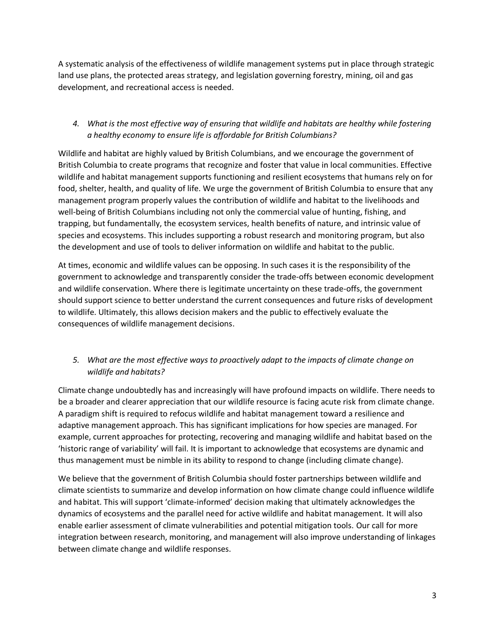A systematic analysis of the effectiveness of wildlife management systems put in place through strategic land use plans, the protected areas strategy, and legislation governing forestry, mining, oil and gas development, and recreational access is needed.

# *4. What is the most effective way of ensuring that wildlife and habitats are healthy while fostering a healthy economy to ensure life is affordable for British Columbians?*

Wildlife and habitat are highly valued by British Columbians, and we encourage the government of British Columbia to create programs that recognize and foster that value in local communities. Effective wildlife and habitat management supports functioning and resilient ecosystems that humans rely on for food, shelter, health, and quality of life. We urge the government of British Columbia to ensure that any management program properly values the contribution of wildlife and habitat to the livelihoods and well-being of British Columbians including not only the commercial value of hunting, fishing, and trapping, but fundamentally, the ecosystem services, health benefits of nature, and intrinsic value of species and ecosystems. This includes supporting a robust research and monitoring program, but also the development and use of tools to deliver information on wildlife and habitat to the public.

At times, economic and wildlife values can be opposing. In such cases it is the responsibility of the government to acknowledge and transparently consider the trade-offs between economic development and wildlife conservation. Where there is legitimate uncertainty on these trade-offs, the government should support science to better understand the current consequences and future risks of development to wildlife. Ultimately, this allows decision makers and the public to effectively evaluate the consequences of wildlife management decisions.

# *5. What are the most effective ways to proactively adapt to the impacts of climate change on wildlife and habitats?*

Climate change undoubtedly has and increasingly will have profound impacts on wildlife. There needs to be a broader and clearer appreciation that our wildlife resource is facing acute risk from climate change. A paradigm shift is required to refocus wildlife and habitat management toward a resilience and adaptive management approach. This has significant implications for how species are managed. For example, current approaches for protecting, recovering and managing wildlife and habitat based on the 'historic range of variability' will fail. It is important to acknowledge that ecosystems are dynamic and thus management must be nimble in its ability to respond to change (including climate change).

We believe that the government of British Columbia should foster partnerships between wildlife and climate scientists to summarize and develop information on how climate change could influence wildlife and habitat. This will support 'climate-informed' decision making that ultimately acknowledges the dynamics of ecosystems and the parallel need for active wildlife and habitat management. It will also enable earlier assessment of climate vulnerabilities and potential mitigation tools. Our call for more integration between research, monitoring, and management will also improve understanding of linkages between climate change and wildlife responses.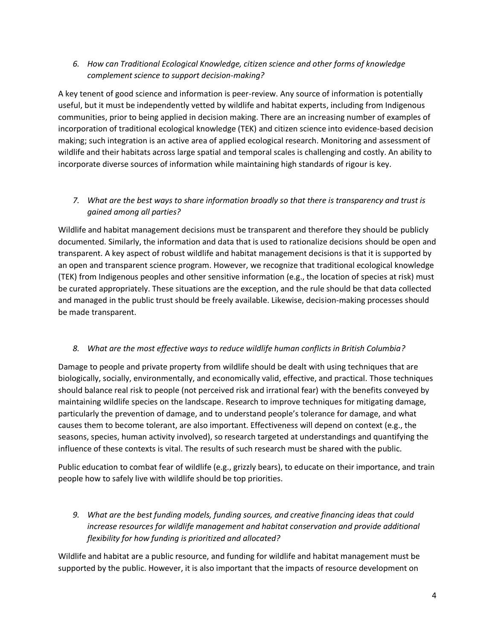## *6. How can Traditional Ecological Knowledge, citizen science and other forms of knowledge complement science to support decision-making?*

A key tenent of good science and information is peer-review. Any source of information is potentially useful, but it must be independently vetted by wildlife and habitat experts, including from Indigenous communities, prior to being applied in decision making. There are an increasing number of examples of incorporation of traditional ecological knowledge (TEK) and citizen science into evidence-based decision making; such integration is an active area of applied ecological research. Monitoring and assessment of wildlife and their habitats across large spatial and temporal scales is challenging and costly. An ability to incorporate diverse sources of information while maintaining high standards of rigour is key.

### *7. What are the best ways to share information broadly so that there is transparency and trust is gained among all parties?*

Wildlife and habitat management decisions must be transparent and therefore they should be publicly documented. Similarly, the information and data that is used to rationalize decisions should be open and transparent. A key aspect of robust wildlife and habitat management decisions is that it is supported by an open and transparent science program. However, we recognize that traditional ecological knowledge (TEK) from Indigenous peoples and other sensitive information (e.g., the location of species at risk) must be curated appropriately. These situations are the exception, and the rule should be that data collected and managed in the public trust should be freely available. Likewise, decision-making processes should be made transparent.

#### *8. What are the most effective ways to reduce wildlife human conflicts in British Columbia?*

Damage to people and private property from wildlife should be dealt with using techniques that are biologically, socially, environmentally, and economically valid, effective, and practical. Those techniques should balance real risk to people (not perceived risk and irrational fear) with the benefits conveyed by maintaining wildlife species on the landscape. Research to improve techniques for mitigating damage, particularly the prevention of damage, and to understand people's tolerance for damage, and what causes them to become tolerant, are also important. Effectiveness will depend on context (e.g., the seasons, species, human activity involved), so research targeted at understandings and quantifying the influence of these contexts is vital. The results of such research must be shared with the public.

Public education to combat fear of wildlife (e.g., grizzly bears), to educate on their importance, and train people how to safely live with wildlife should be top priorities.

*9. What are the best funding models, funding sources, and creative financing ideas that could increase resources for wildlife management and habitat conservation and provide additional flexibility for how funding is prioritized and allocated?*

Wildlife and habitat are a public resource, and funding for wildlife and habitat management must be supported by the public. However, it is also important that the impacts of resource development on